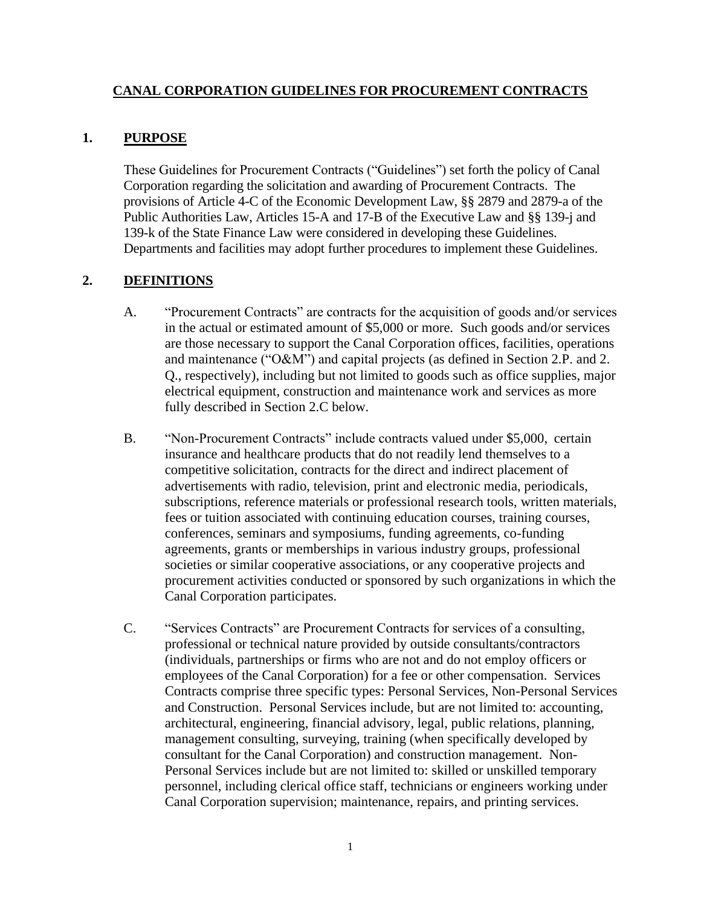#### **CANAL CORPORATION GUIDELINES FOR PROCUREMENT CONTRACTS**

#### **1. PURPOSE**

These Guidelines for Procurement Contracts ("Guidelines") set forth the policy of Canal Corporation regarding the solicitation and awarding of Procurement Contracts. The provisions of Article 4-C of the Economic Development Law, §§ 2879 and 2879-a of the Public Authorities Law, Articles 15-A and 17-B of the Executive Law and §§ 139-j and 139-k of the State Finance Law were considered in developing these Guidelines. Departments and facilities may adopt further procedures to implement these Guidelines.

### **2. DEFINITIONS**

- A. "Procurement Contracts" are contracts for the acquisition of goods and/or services in the actual or estimated amount of \$5,000 or more. Such goods and/or services are those necessary to support the Canal Corporation offices, facilities, operations and maintenance ("O&M") and capital projects (as defined in Section 2.P. and 2. Q., respectively), including but not limited to goods such as office supplies, major electrical equipment, construction and maintenance work and services as more fully described in Section 2.C below.
- B. "Non-Procurement Contracts" include contracts valued under \$5,000, certain insurance and healthcare products that do not readily lend themselves to a competitive solicitation, contracts for the direct and indirect placement of advertisements with radio, television, print and electronic media, periodicals, subscriptions, reference materials or professional research tools, written materials, fees or tuition associated with continuing education courses, training courses, conferences, seminars and symposiums, funding agreements, co-funding agreements, grants or memberships in various industry groups, professional societies or similar cooperative associations, or any cooperative projects and procurement activities conducted or sponsored by such organizations in which the Canal Corporation participates.
- C. "Services Contracts" are Procurement Contracts for services of a consulting, professional or technical nature provided by outside consultants/contractors (individuals, partnerships or firms who are not and do not employ officers or employees of the Canal Corporation) for a fee or other compensation. Services Contracts comprise three specific types: Personal Services, Non-Personal Services and Construction. Personal Services include, but are not limited to: accounting, architectural, engineering, financial advisory, legal, public relations, planning, management consulting, surveying, training (when specifically developed by consultant for the Canal Corporation) and construction management. Non-Personal Services include but are not limited to: skilled or unskilled temporary personnel, including clerical office staff, technicians or engineers working under Canal Corporation supervision; maintenance, repairs, and printing services.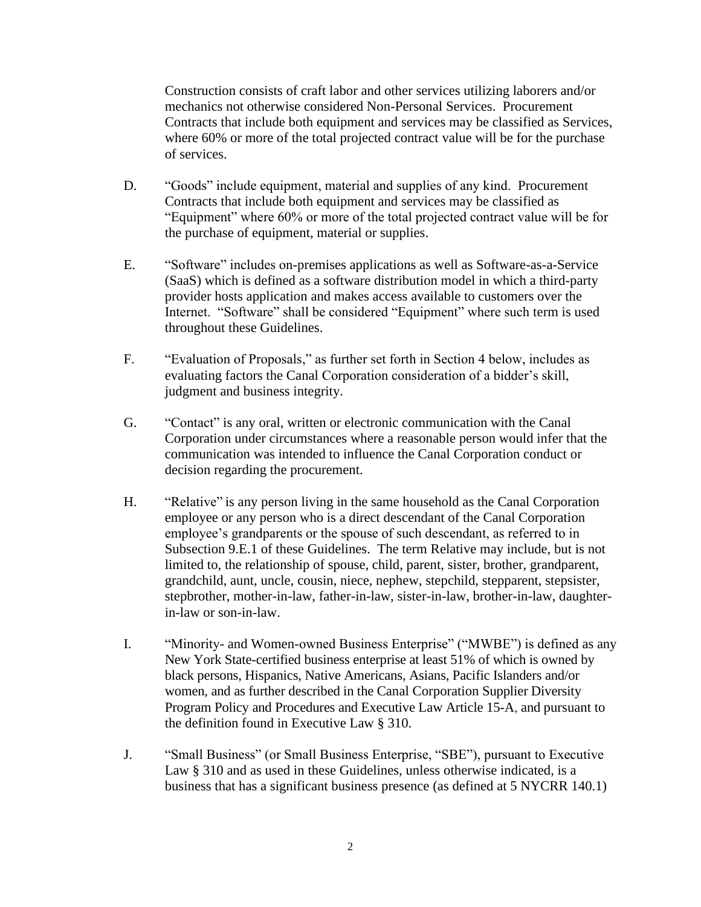Construction consists of craft labor and other services utilizing laborers and/or mechanics not otherwise considered Non-Personal Services. Procurement Contracts that include both equipment and services may be classified as Services, where 60% or more of the total projected contract value will be for the purchase of services.

- D. "Goods" include equipment, material and supplies of any kind. Procurement Contracts that include both equipment and services may be classified as "Equipment" where 60% or more of the total projected contract value will be for the purchase of equipment, material or supplies.
- E. "Software" includes on-premises applications as well as Software-as-a-Service (SaaS) which is defined as a software distribution model in which a third-party provider hosts application and makes access available to customers over the Internet. "Software" shall be considered "Equipment" where such term is used throughout these Guidelines.
- F. "Evaluation of Proposals," as further set forth in Section 4 below, includes as evaluating factors the Canal Corporation consideration of a bidder's skill, judgment and business integrity.
- G. "Contact" is any oral, written or electronic communication with the Canal Corporation under circumstances where a reasonable person would infer that the communication was intended to influence the Canal Corporation conduct or decision regarding the procurement.
- H. "Relative" is any person living in the same household as the Canal Corporation employee or any person who is a direct descendant of the Canal Corporation employee's grandparents or the spouse of such descendant, as referred to in Subsection 9.E.1 of these Guidelines. The term Relative may include, but is not limited to, the relationship of spouse, child, parent, sister, brother, grandparent, grandchild, aunt, uncle, cousin, niece, nephew, stepchild, stepparent, stepsister, stepbrother, mother-in-law, father-in-law, sister-in-law, brother-in-law, daughterin-law or son-in-law.
- I. "Minority- and Women-owned Business Enterprise" ("MWBE") is defined as any New York State-certified business enterprise at least 51% of which is owned by black persons, Hispanics, Native Americans, Asians, Pacific Islanders and/or women, and as further described in the Canal Corporation Supplier Diversity Program Policy and Procedures and Executive Law Article 15-A, and pursuant to the definition found in Executive Law § 310.
- J. "Small Business" (or Small Business Enterprise, "SBE"), pursuant to Executive Law § 310 and as used in these Guidelines, unless otherwise indicated, is a business that has a significant business presence (as defined at 5 NYCRR 140.1)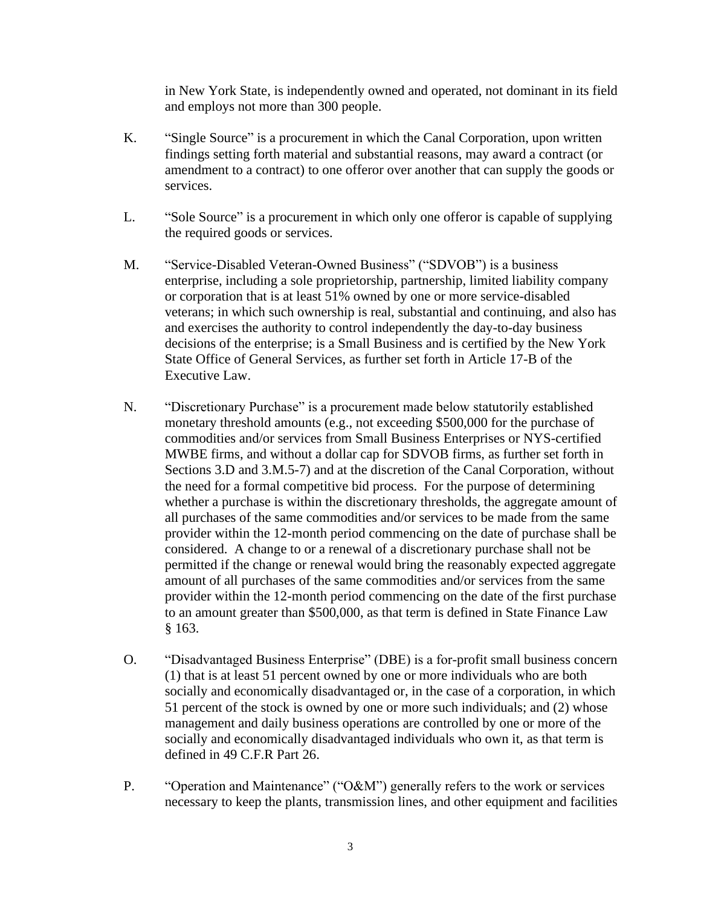in New York State, is independently owned and operated, not dominant in its field and employs not more than 300 people.

- K. "Single Source" is a procurement in which the Canal Corporation, upon written findings setting forth material and substantial reasons, may award a contract (or amendment to a contract) to one offeror over another that can supply the goods or services.
- L. "Sole Source" is a procurement in which only one offeror is capable of supplying the required goods or services.
- M. "Service-Disabled Veteran-Owned Business" ("SDVOB") is a business enterprise, including a sole proprietorship, partnership, limited liability company or corporation that is at least 51% owned by one or more service-disabled veterans; in which such ownership is real, substantial and continuing, and also has and exercises the authority to control independently the day-to-day business decisions of the enterprise; is a Small Business and is certified by the New York State Office of General Services, as further set forth in Article 17-B of the Executive Law.
- N. "Discretionary Purchase" is a procurement made below statutorily established monetary threshold amounts (e.g., not exceeding \$500,000 for the purchase of commodities and/or services from Small Business Enterprises or NYS-certified MWBE firms, and without a dollar cap for SDVOB firms, as further set forth in Sections 3.D and 3.M.5-7) and at the discretion of the Canal Corporation, without the need for a formal competitive bid process. For the purpose of determining whether a purchase is within the discretionary thresholds, the aggregate amount of all purchases of the same commodities and/or services to be made from the same provider within the 12-month period commencing on the date of purchase shall be considered. A change to or a renewal of a discretionary purchase shall not be permitted if the change or renewal would bring the reasonably expected aggregate amount of all purchases of the same commodities and/or services from the same provider within the 12-month period commencing on the date of the first purchase to an amount greater than \$500,000, as that term is defined in State Finance Law § 163.
- O. "Disadvantaged Business Enterprise" (DBE) is a for-profit small business concern (1) that is at least 51 percent owned by one or more individuals who are both socially and economically disadvantaged or, in the case of a corporation, in which 51 percent of the stock is owned by one or more such individuals; and (2) whose management and daily business operations are controlled by one or more of the socially and economically disadvantaged individuals who own it, as that term is defined in 49 C.F.R Part 26.
- P. "Operation and Maintenance" ("O&M") generally refers to the work or services necessary to keep the plants, transmission lines, and other equipment and facilities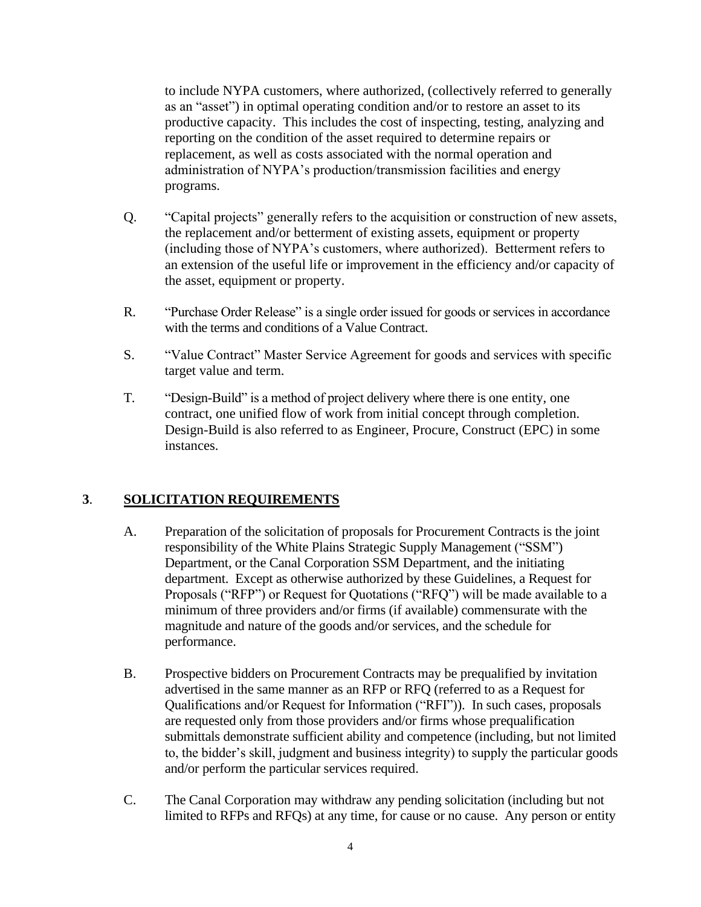to include NYPA customers, where authorized, (collectively referred to generally as an "asset") in optimal operating condition and/or to restore an asset to its productive capacity. This includes the cost of inspecting, testing, analyzing and reporting on the condition of the asset required to determine repairs or replacement, as well as costs associated with the normal operation and administration of NYPA's production/transmission facilities and energy programs.

- Q. "Capital projects" generally refers to the acquisition or construction of new assets, the replacement and/or betterment of existing assets, equipment or property (including those of NYPA's customers, where authorized). Betterment refers to an extension of the useful life or improvement in the efficiency and/or capacity of the asset, equipment or property.
- R. "Purchase Order Release" is a single order issued for goods or services in accordance with the terms and conditions of a Value Contract.
- S. "Value Contract" Master Service Agreement for goods and services with specific target value and term.
- T. "Design-Build" is a method of project delivery where there is one entity, one contract, one unified flow of work from initial concept through completion. Design-Build is also referred to as Engineer, Procure, Construct (EPC) in some instances.

### **3**. **SOLICITATION REQUIREMENTS**

- A. Preparation of the solicitation of proposals for Procurement Contracts is the joint responsibility of the White Plains Strategic Supply Management ("SSM") Department, or the Canal Corporation SSM Department, and the initiating department. Except as otherwise authorized by these Guidelines, a Request for Proposals ("RFP") or Request for Quotations ("RFQ") will be made available to a minimum of three providers and/or firms (if available) commensurate with the magnitude and nature of the goods and/or services, and the schedule for performance.
- B. Prospective bidders on Procurement Contracts may be prequalified by invitation advertised in the same manner as an RFP or RFQ (referred to as a Request for Qualifications and/or Request for Information ("RFI")). In such cases, proposals are requested only from those providers and/or firms whose prequalification submittals demonstrate sufficient ability and competence (including, but not limited to, the bidder's skill, judgment and business integrity) to supply the particular goods and/or perform the particular services required.
- C. The Canal Corporation may withdraw any pending solicitation (including but not limited to RFPs and RFQs) at any time, for cause or no cause. Any person or entity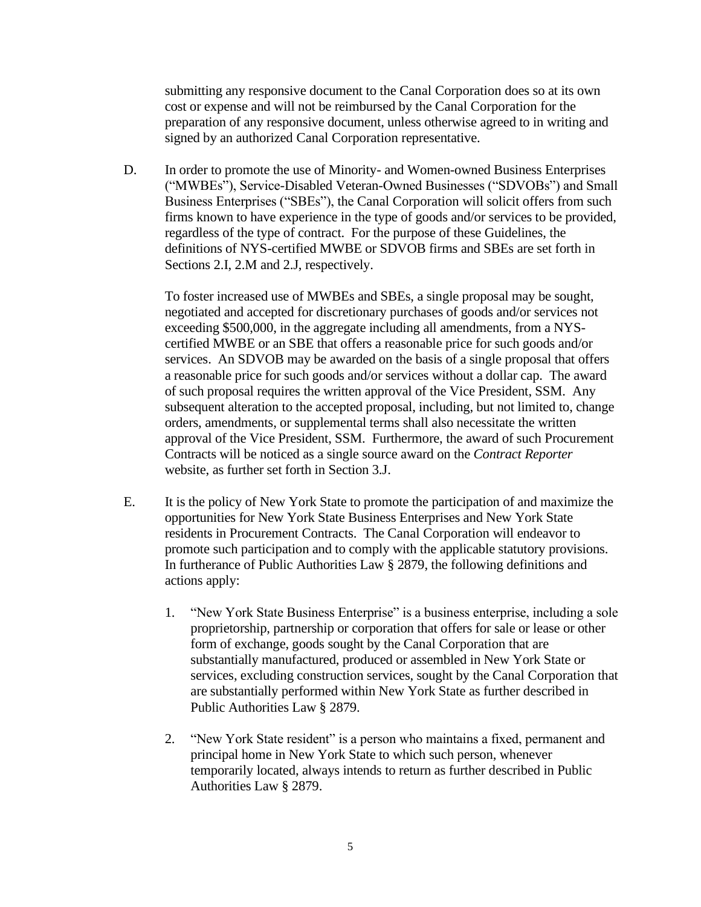submitting any responsive document to the Canal Corporation does so at its own cost or expense and will not be reimbursed by the Canal Corporation for the preparation of any responsive document, unless otherwise agreed to in writing and signed by an authorized Canal Corporation representative.

D. In order to promote the use of Minority- and Women-owned Business Enterprises ("MWBEs"), Service-Disabled Veteran-Owned Businesses ("SDVOBs") and Small Business Enterprises ("SBEs"), the Canal Corporation will solicit offers from such firms known to have experience in the type of goods and/or services to be provided, regardless of the type of contract. For the purpose of these Guidelines, the definitions of NYS-certified MWBE or SDVOB firms and SBEs are set forth in Sections 2.I, 2.M and 2.J, respectively.

To foster increased use of MWBEs and SBEs, a single proposal may be sought, negotiated and accepted for discretionary purchases of goods and/or services not exceeding \$500,000, in the aggregate including all amendments, from a NYScertified MWBE or an SBE that offers a reasonable price for such goods and/or services. An SDVOB may be awarded on the basis of a single proposal that offers a reasonable price for such goods and/or services without a dollar cap. The award of such proposal requires the written approval of the Vice President, SSM. Any subsequent alteration to the accepted proposal, including, but not limited to, change orders, amendments, or supplemental terms shall also necessitate the written approval of the Vice President, SSM. Furthermore, the award of such Procurement Contracts will be noticed as a single source award on the *Contract Reporter* website, as further set forth in Section 3.J.

- E. It is the policy of New York State to promote the participation of and maximize the opportunities for New York State Business Enterprises and New York State residents in Procurement Contracts. The Canal Corporation will endeavor to promote such participation and to comply with the applicable statutory provisions. In furtherance of Public Authorities Law § 2879, the following definitions and actions apply:
	- 1. "New York State Business Enterprise" is a business enterprise, including a sole proprietorship, partnership or corporation that offers for sale or lease or other form of exchange, goods sought by the Canal Corporation that are substantially manufactured, produced or assembled in New York State or services, excluding construction services, sought by the Canal Corporation that are substantially performed within New York State as further described in Public Authorities Law § 2879.
	- 2. "New York State resident" is a person who maintains a fixed, permanent and principal home in New York State to which such person, whenever temporarily located, always intends to return as further described in Public Authorities Law § 2879.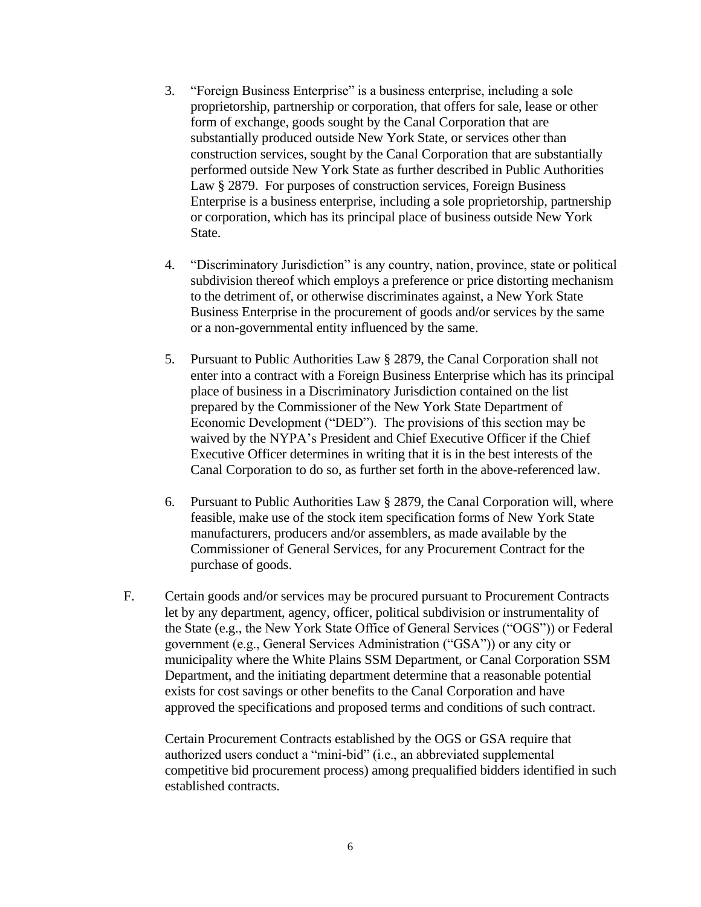- 3. "Foreign Business Enterprise" is a business enterprise, including a sole proprietorship, partnership or corporation, that offers for sale, lease or other form of exchange, goods sought by the Canal Corporation that are substantially produced outside New York State, or services other than construction services, sought by the Canal Corporation that are substantially performed outside New York State as further described in Public Authorities Law § 2879. For purposes of construction services, Foreign Business Enterprise is a business enterprise, including a sole proprietorship, partnership or corporation, which has its principal place of business outside New York State.
- 4. "Discriminatory Jurisdiction" is any country, nation, province, state or political subdivision thereof which employs a preference or price distorting mechanism to the detriment of, or otherwise discriminates against, a New York State Business Enterprise in the procurement of goods and/or services by the same or a non-governmental entity influenced by the same.
- 5. Pursuant to Public Authorities Law § 2879, the Canal Corporation shall not enter into a contract with a Foreign Business Enterprise which has its principal place of business in a Discriminatory Jurisdiction contained on the list prepared by the Commissioner of the New York State Department of Economic Development ("DED"). The provisions of this section may be waived by the NYPA's President and Chief Executive Officer if the Chief Executive Officer determines in writing that it is in the best interests of the Canal Corporation to do so, as further set forth in the above-referenced law.
- 6. Pursuant to Public Authorities Law § 2879, the Canal Corporation will, where feasible, make use of the stock item specification forms of New York State manufacturers, producers and/or assemblers, as made available by the Commissioner of General Services, for any Procurement Contract for the purchase of goods.
- F. Certain goods and/or services may be procured pursuant to Procurement Contracts let by any department, agency, officer, political subdivision or instrumentality of the State (e.g., the New York State Office of General Services ("OGS")) or Federal government (e.g., General Services Administration ("GSA")) or any city or municipality where the White Plains SSM Department, or Canal Corporation SSM Department, and the initiating department determine that a reasonable potential exists for cost savings or other benefits to the Canal Corporation and have approved the specifications and proposed terms and conditions of such contract.

Certain Procurement Contracts established by the OGS or GSA require that authorized users conduct a "mini-bid" (i.e., an abbreviated supplemental competitive bid procurement process) among prequalified bidders identified in such established contracts.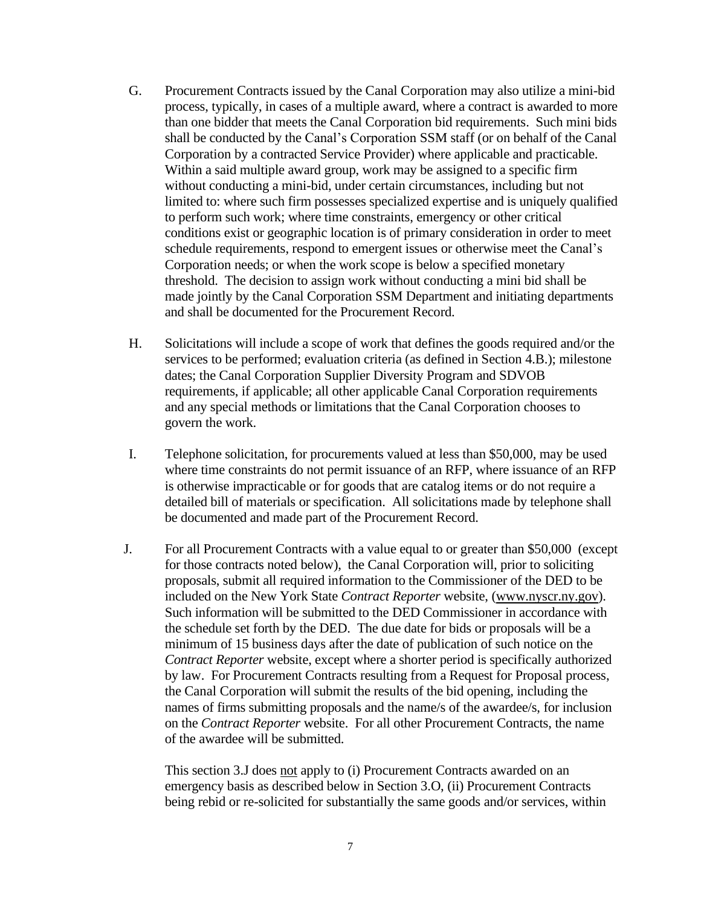- G. Procurement Contracts issued by the Canal Corporation may also utilize a mini-bid process, typically, in cases of a multiple award, where a contract is awarded to more than one bidder that meets the Canal Corporation bid requirements. Such mini bids shall be conducted by the Canal's Corporation SSM staff (or on behalf of the Canal Corporation by a contracted Service Provider) where applicable and practicable. Within a said multiple award group, work may be assigned to a specific firm without conducting a mini-bid, under certain circumstances, including but not limited to: where such firm possesses specialized expertise and is uniquely qualified to perform such work; where time constraints, emergency or other critical conditions exist or geographic location is of primary consideration in order to meet schedule requirements, respond to emergent issues or otherwise meet the Canal's Corporation needs; or when the work scope is below a specified monetary threshold. The decision to assign work without conducting a mini bid shall be made jointly by the Canal Corporation SSM Department and initiating departments and shall be documented for the Procurement Record.
- H. Solicitations will include a scope of work that defines the goods required and/or the services to be performed; evaluation criteria (as defined in Section 4.B.); milestone dates; the Canal Corporation Supplier Diversity Program and SDVOB requirements, if applicable; all other applicable Canal Corporation requirements and any special methods or limitations that the Canal Corporation chooses to govern the work.
- I. Telephone solicitation, for procurements valued at less than \$50,000, may be used where time constraints do not permit issuance of an RFP, where issuance of an RFP is otherwise impracticable or for goods that are catalog items or do not require a detailed bill of materials or specification. All solicitations made by telephone shall be documented and made part of the Procurement Record.
- J. For all Procurement Contracts with a value equal to or greater than \$50,000 (except for those contracts noted below), the Canal Corporation will, prior to soliciting proposals, submit all required information to the Commissioner of the DED to be included on the New York State *Contract Reporter* website, [\(www.nyscr.ny.gov\)](http://www.nyscr.ny.gov/). Such information will be submitted to the DED Commissioner in accordance with the schedule set forth by the DED. The due date for bids or proposals will be a minimum of 15 business days after the date of publication of such notice on the *Contract Reporter* website, except where a shorter period is specifically authorized by law. For Procurement Contracts resulting from a Request for Proposal process, the Canal Corporation will submit the results of the bid opening, including the names of firms submitting proposals and the name/s of the awardee/s, for inclusion on the *Contract Reporter* website. For all other Procurement Contracts, the name of the awardee will be submitted.

This section 3.J does not apply to (i) Procurement Contracts awarded on an emergency basis as described below in Section 3.O, (ii) Procurement Contracts being rebid or re-solicited for substantially the same goods and/or services, within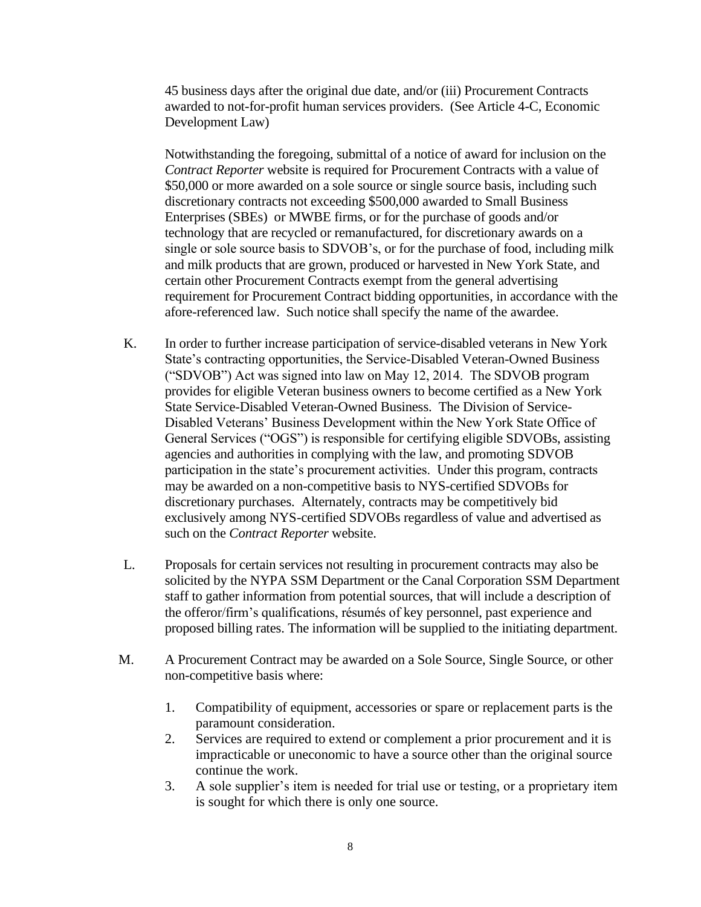45 business days after the original due date, and/or (iii) Procurement Contracts awarded to not-for-profit human services providers. (See Article 4-C, Economic Development Law)

Notwithstanding the foregoing, submittal of a notice of award for inclusion on the *Contract Reporter* website is required for Procurement Contracts with a value of \$50,000 or more awarded on a sole source or single source basis, including such discretionary contracts not exceeding \$500,000 awarded to Small Business Enterprises (SBEs) or MWBE firms, or for the purchase of goods and/or technology that are recycled or remanufactured, for discretionary awards on a single or sole source basis to SDVOB's, or for the purchase of food, including milk and milk products that are grown, produced or harvested in New York State, and certain other Procurement Contracts exempt from the general advertising requirement for Procurement Contract bidding opportunities, in accordance with the afore-referenced law. Such notice shall specify the name of the awardee.

- K. In order to further increase participation of service-disabled veterans in New York State's contracting opportunities, the Service-Disabled Veteran-Owned Business ("SDVOB") Act was signed into law on May 12, 2014. The SDVOB program provides for eligible Veteran business owners to become certified as a New York State Service-Disabled Veteran-Owned Business. The Division of Service-Disabled Veterans' Business Development within the New York State Office of General Services ("OGS") is responsible for certifying eligible SDVOBs, assisting agencies and authorities in complying with the law, and promoting SDVOB participation in the state's procurement activities. Under this program, contracts may be awarded on a non-competitive basis to NYS-certified SDVOBs for discretionary purchases. Alternately, contracts may be competitively bid exclusively among NYS-certified SDVOBs regardless of value and advertised as such on the *Contract Reporter* website.
- L. Proposals for certain services not resulting in procurement contracts may also be solicited by the NYPA SSM Department or the Canal Corporation SSM Department staff to gather information from potential sources, that will include a description of the offeror/firm's qualifications, résumés of key personnel, past experience and proposed billing rates. The information will be supplied to the initiating department.
- M. A Procurement Contract may be awarded on a Sole Source, Single Source, or other non-competitive basis where:
	- 1. Compatibility of equipment, accessories or spare or replacement parts is the paramount consideration.
	- 2. Services are required to extend or complement a prior procurement and it is impracticable or uneconomic to have a source other than the original source continue the work.
	- 3. A sole supplier's item is needed for trial use or testing, or a proprietary item is sought for which there is only one source.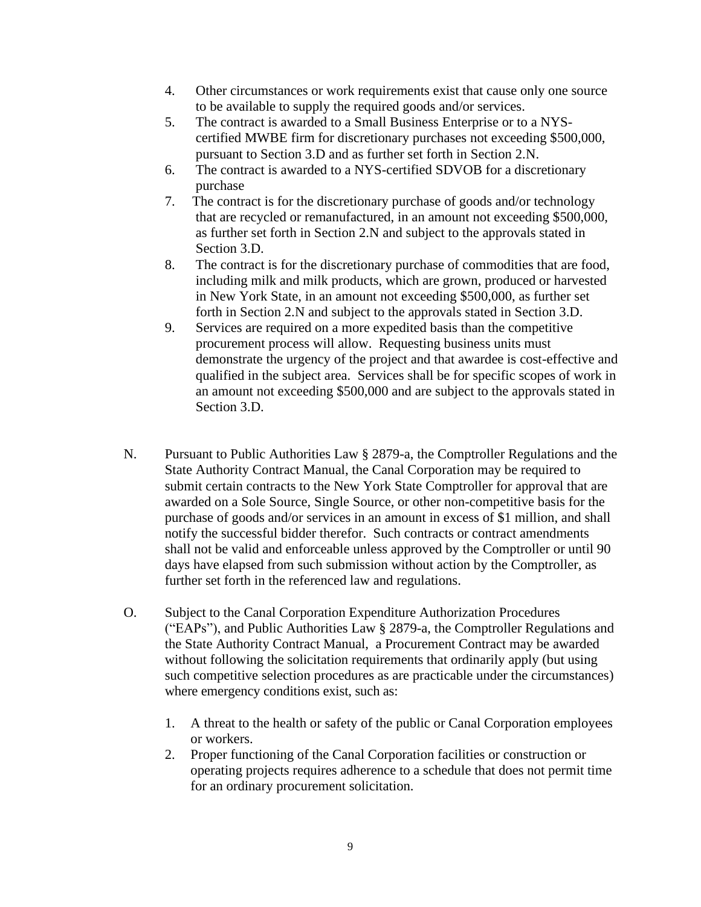- 4. Other circumstances or work requirements exist that cause only one source to be available to supply the required goods and/or services.
- 5. The contract is awarded to a Small Business Enterprise or to a NYScertified MWBE firm for discretionary purchases not exceeding \$500,000, pursuant to Section 3.D and as further set forth in Section 2.N.
- 6. The contract is awarded to a NYS-certified SDVOB for a discretionary purchase
- 7. The contract is for the discretionary purchase of goods and/or technology that are recycled or remanufactured, in an amount not exceeding \$500,000, as further set forth in Section 2.N and subject to the approvals stated in Section 3.D.
- 8. The contract is for the discretionary purchase of commodities that are food, including milk and milk products, which are grown, produced or harvested in New York State, in an amount not exceeding \$500,000, as further set forth in Section 2.N and subject to the approvals stated in Section 3.D.
- 9. Services are required on a more expedited basis than the competitive procurement process will allow. Requesting business units must demonstrate the urgency of the project and that awardee is cost-effective and qualified in the subject area. Services shall be for specific scopes of work in an amount not exceeding \$500,000 and are subject to the approvals stated in Section 3.D.
- N. Pursuant to Public Authorities Law § 2879-a, the Comptroller Regulations and the State Authority Contract Manual, the Canal Corporation may be required to submit certain contracts to the New York State Comptroller for approval that are awarded on a Sole Source, Single Source, or other non-competitive basis for the purchase of goods and/or services in an amount in excess of \$1 million, and shall notify the successful bidder therefor. Such contracts or contract amendments shall not be valid and enforceable unless approved by the Comptroller or until 90 days have elapsed from such submission without action by the Comptroller, as further set forth in the referenced law and regulations.
- O. Subject to the Canal Corporation Expenditure Authorization Procedures ("EAPs"), and Public Authorities Law § 2879-a, the Comptroller Regulations and the State Authority Contract Manual, a Procurement Contract may be awarded without following the solicitation requirements that ordinarily apply (but using such competitive selection procedures as are practicable under the circumstances) where emergency conditions exist, such as:
	- 1. A threat to the health or safety of the public or Canal Corporation employees or workers.
	- 2. Proper functioning of the Canal Corporation facilities or construction or operating projects requires adherence to a schedule that does not permit time for an ordinary procurement solicitation.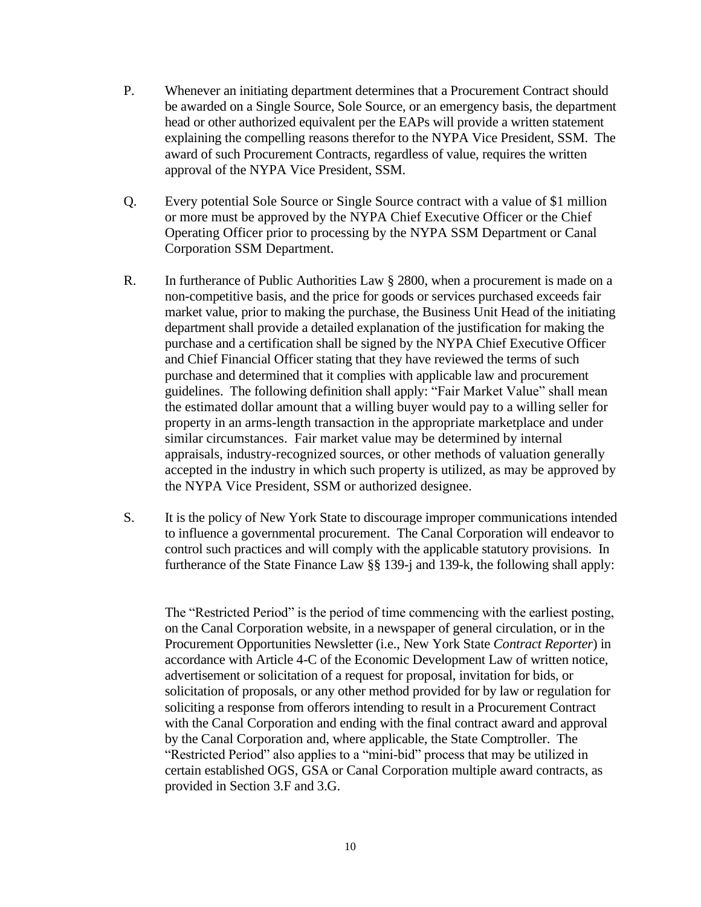- P. Whenever an initiating department determines that a Procurement Contract should be awarded on a Single Source, Sole Source, or an emergency basis, the department head or other authorized equivalent per the EAPs will provide a written statement explaining the compelling reasons therefor to the NYPA Vice President, SSM. The award of such Procurement Contracts, regardless of value, requires the written approval of the NYPA Vice President, SSM.
- Q. Every potential Sole Source or Single Source contract with a value of \$1 million or more must be approved by the NYPA Chief Executive Officer or the Chief Operating Officer prior to processing by the NYPA SSM Department or Canal Corporation SSM Department.
- R. In furtherance of Public Authorities Law § 2800, when a procurement is made on a non-competitive basis, and the price for goods or services purchased exceeds fair market value, prior to making the purchase, the Business Unit Head of the initiating department shall provide a detailed explanation of the justification for making the purchase and a certification shall be signed by the NYPA Chief Executive Officer and Chief Financial Officer stating that they have reviewed the terms of such purchase and determined that it complies with applicable law and procurement guidelines. The following definition shall apply: "Fair Market Value" shall mean the estimated dollar amount that a willing buyer would pay to a willing seller for property in an arms-length transaction in the appropriate marketplace and under similar circumstances. Fair market value may be determined by internal appraisals, industry-recognized sources, or other methods of valuation generally accepted in the industry in which such property is utilized, as may be approved by the NYPA Vice President, SSM or authorized designee.
- S. It is the policy of New York State to discourage improper communications intended to influence a governmental procurement. The Canal Corporation will endeavor to control such practices and will comply with the applicable statutory provisions. In furtherance of the State Finance Law §§ 139-j and 139-k, the following shall apply:

The "Restricted Period" is the period of time commencing with the earliest posting, on the Canal Corporation website, in a newspaper of general circulation, or in the Procurement Opportunities Newsletter (i.e., New York State *Contract Reporter*) in accordance with Article 4-C of the Economic Development Law of written notice, advertisement or solicitation of a request for proposal, invitation for bids, or solicitation of proposals, or any other method provided for by law or regulation for soliciting a response from offerors intending to result in a Procurement Contract with the Canal Corporation and ending with the final contract award and approval by the Canal Corporation and, where applicable, the State Comptroller. The "Restricted Period" also applies to a "mini-bid" process that may be utilized in certain established OGS, GSA or Canal Corporation multiple award contracts, as provided in Section 3.F and 3.G.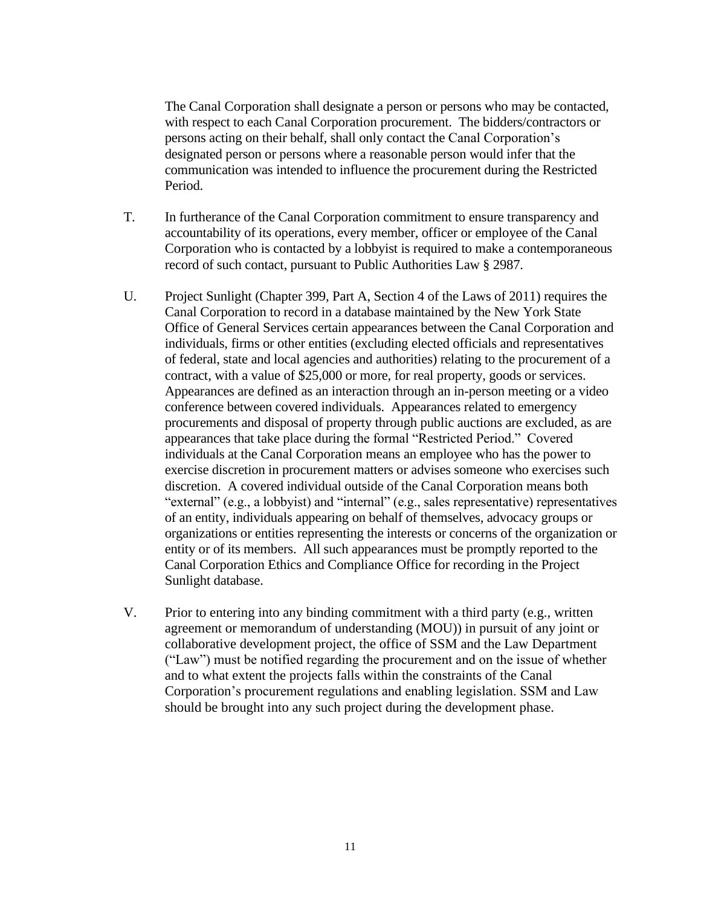The Canal Corporation shall designate a person or persons who may be contacted, with respect to each Canal Corporation procurement. The bidders/contractors or persons acting on their behalf, shall only contact the Canal Corporation's designated person or persons where a reasonable person would infer that the communication was intended to influence the procurement during the Restricted Period.

- T. In furtherance of the Canal Corporation commitment to ensure transparency and accountability of its operations, every member, officer or employee of the Canal Corporation who is contacted by a lobbyist is required to make a contemporaneous record of such contact, pursuant to Public Authorities Law § 2987.
- U. Project Sunlight (Chapter 399, Part A, Section 4 of the Laws of 2011) requires the Canal Corporation to record in a database maintained by the New York State Office of General Services certain appearances between the Canal Corporation and individuals, firms or other entities (excluding elected officials and representatives of federal, state and local agencies and authorities) relating to the procurement of a contract, with a value of \$25,000 or more, for real property, goods or services. Appearances are defined as an interaction through an in-person meeting or a video conference between covered individuals. Appearances related to emergency procurements and disposal of property through public auctions are excluded, as are appearances that take place during the formal "Restricted Period." Covered individuals at the Canal Corporation means an employee who has the power to exercise discretion in procurement matters or advises someone who exercises such discretion. A covered individual outside of the Canal Corporation means both "external" (e.g., a lobbyist) and "internal" (e.g., sales representative) representatives of an entity, individuals appearing on behalf of themselves, advocacy groups or organizations or entities representing the interests or concerns of the organization or entity or of its members. All such appearances must be promptly reported to the Canal Corporation Ethics and Compliance Office for recording in the Project Sunlight database.
- V. Prior to entering into any binding commitment with a third party (e.g., written agreement or memorandum of understanding (MOU)) in pursuit of any joint or collaborative development project, the office of SSM and the Law Department ("Law") must be notified regarding the procurement and on the issue of whether and to what extent the projects falls within the constraints of the Canal Corporation's procurement regulations and enabling legislation. SSM and Law should be brought into any such project during the development phase.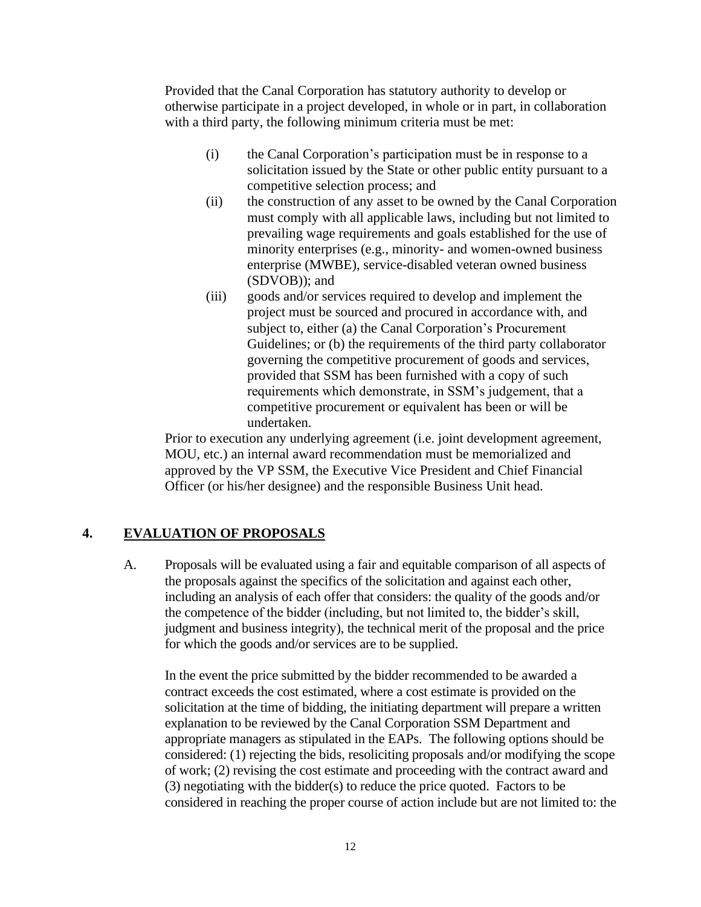Provided that the Canal Corporation has statutory authority to develop or otherwise participate in a project developed, in whole or in part, in collaboration with a third party, the following minimum criteria must be met:

- (i) the Canal Corporation's participation must be in response to a solicitation issued by the State or other public entity pursuant to a competitive selection process; and
- (ii) the construction of any asset to be owned by the Canal Corporation must comply with all applicable laws, including but not limited to prevailing wage requirements and goals established for the use of minority enterprises (e.g., minority- and women-owned business enterprise (MWBE), service-disabled veteran owned business (SDVOB)); and
- (iii) goods and/or services required to develop and implement the project must be sourced and procured in accordance with, and subject to, either (a) the Canal Corporation's Procurement Guidelines; or (b) the requirements of the third party collaborator governing the competitive procurement of goods and services, provided that SSM has been furnished with a copy of such requirements which demonstrate, in SSM's judgement, that a competitive procurement or equivalent has been or will be undertaken.

Prior to execution any underlying agreement (i.e. joint development agreement, MOU, etc.) an internal award recommendation must be memorialized and approved by the VP SSM, the Executive Vice President and Chief Financial Officer (or his/her designee) and the responsible Business Unit head.

# **4. EVALUATION OF PROPOSALS**

A. Proposals will be evaluated using a fair and equitable comparison of all aspects of the proposals against the specifics of the solicitation and against each other, including an analysis of each offer that considers: the quality of the goods and/or the competence of the bidder (including, but not limited to, the bidder's skill, judgment and business integrity), the technical merit of the proposal and the price for which the goods and/or services are to be supplied.

In the event the price submitted by the bidder recommended to be awarded a contract exceeds the cost estimated, where a cost estimate is provided on the solicitation at the time of bidding, the initiating department will prepare a written explanation to be reviewed by the Canal Corporation SSM Department and appropriate managers as stipulated in the EAPs. The following options should be considered: (1) rejecting the bids, resoliciting proposals and/or modifying the scope of work; (2) revising the cost estimate and proceeding with the contract award and (3) negotiating with the bidder(s) to reduce the price quoted. Factors to be considered in reaching the proper course of action include but are not limited to: the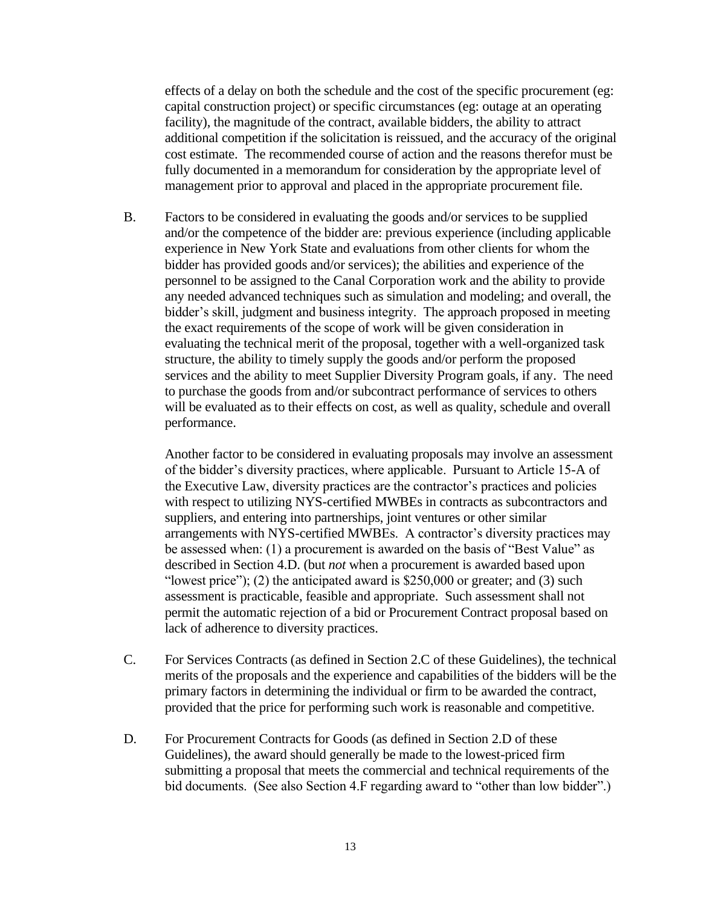effects of a delay on both the schedule and the cost of the specific procurement (eg: capital construction project) or specific circumstances (eg: outage at an operating facility), the magnitude of the contract, available bidders, the ability to attract additional competition if the solicitation is reissued, and the accuracy of the original cost estimate. The recommended course of action and the reasons therefor must be fully documented in a memorandum for consideration by the appropriate level of management prior to approval and placed in the appropriate procurement file.

B. Factors to be considered in evaluating the goods and/or services to be supplied and/or the competence of the bidder are: previous experience (including applicable experience in New York State and evaluations from other clients for whom the bidder has provided goods and/or services); the abilities and experience of the personnel to be assigned to the Canal Corporation work and the ability to provide any needed advanced techniques such as simulation and modeling; and overall, the bidder's skill, judgment and business integrity. The approach proposed in meeting the exact requirements of the scope of work will be given consideration in evaluating the technical merit of the proposal, together with a well-organized task structure, the ability to timely supply the goods and/or perform the proposed services and the ability to meet Supplier Diversity Program goals, if any. The need to purchase the goods from and/or subcontract performance of services to others will be evaluated as to their effects on cost, as well as quality, schedule and overall performance.

Another factor to be considered in evaluating proposals may involve an assessment of the bidder's diversity practices, where applicable. Pursuant to Article 15-A of the Executive Law, diversity practices are the contractor's practices and policies with respect to utilizing NYS-certified MWBEs in contracts as subcontractors and suppliers, and entering into partnerships, joint ventures or other similar arrangements with NYS-certified MWBEs. A contractor's diversity practices may be assessed when: (1) a procurement is awarded on the basis of "Best Value" as described in Section 4.D. (but *not* when a procurement is awarded based upon "lowest price"); (2) the anticipated award is  $$250,000$  or greater; and (3) such assessment is practicable, feasible and appropriate. Such assessment shall not permit the automatic rejection of a bid or Procurement Contract proposal based on lack of adherence to diversity practices.

- C. For Services Contracts (as defined in Section 2.C of these Guidelines), the technical merits of the proposals and the experience and capabilities of the bidders will be the primary factors in determining the individual or firm to be awarded the contract, provided that the price for performing such work is reasonable and competitive.
- D. For Procurement Contracts for Goods (as defined in Section 2.D of these Guidelines), the award should generally be made to the lowest-priced firm submitting a proposal that meets the commercial and technical requirements of the bid documents. (See also Section 4.F regarding award to "other than low bidder".)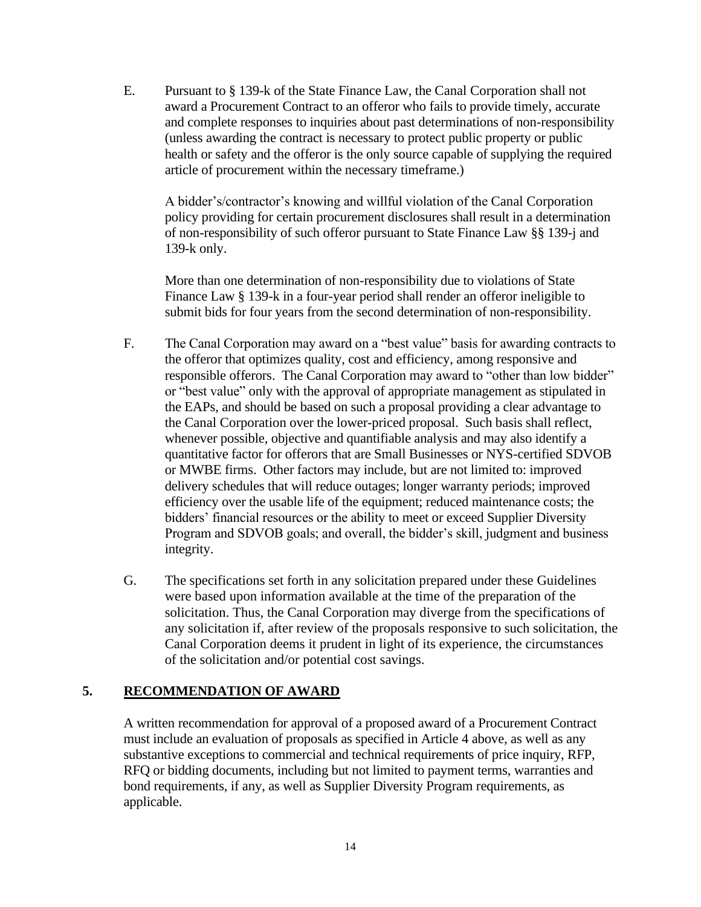E. Pursuant to § 139-k of the State Finance Law, the Canal Corporation shall not award a Procurement Contract to an offeror who fails to provide timely, accurate and complete responses to inquiries about past determinations of non-responsibility (unless awarding the contract is necessary to protect public property or public health or safety and the offeror is the only source capable of supplying the required article of procurement within the necessary timeframe.)

A bidder's/contractor's knowing and willful violation of the Canal Corporation policy providing for certain procurement disclosures shall result in a determination of non-responsibility of such offeror pursuant to State Finance Law §§ 139-j and 139-k only.

More than one determination of non-responsibility due to violations of State Finance Law § 139-k in a four-year period shall render an offeror ineligible to submit bids for four years from the second determination of non-responsibility.

- F. The Canal Corporation may award on a "best value" basis for awarding contracts to the offeror that optimizes quality, cost and efficiency, among responsive and responsible offerors. The Canal Corporation may award to "other than low bidder" or "best value" only with the approval of appropriate management as stipulated in the EAPs, and should be based on such a proposal providing a clear advantage to the Canal Corporation over the lower-priced proposal. Such basis shall reflect, whenever possible, objective and quantifiable analysis and may also identify a quantitative factor for offerors that are Small Businesses or NYS-certified SDVOB or MWBE firms. Other factors may include, but are not limited to: improved delivery schedules that will reduce outages; longer warranty periods; improved efficiency over the usable life of the equipment; reduced maintenance costs; the bidders' financial resources or the ability to meet or exceed Supplier Diversity Program and SDVOB goals; and overall, the bidder's skill, judgment and business integrity.
- G. The specifications set forth in any solicitation prepared under these Guidelines were based upon information available at the time of the preparation of the solicitation. Thus, the Canal Corporation may diverge from the specifications of any solicitation if, after review of the proposals responsive to such solicitation, the Canal Corporation deems it prudent in light of its experience, the circumstances of the solicitation and/or potential cost savings.

# **5. RECOMMENDATION OF AWARD**

A written recommendation for approval of a proposed award of a Procurement Contract must include an evaluation of proposals as specified in Article 4 above, as well as any substantive exceptions to commercial and technical requirements of price inquiry, RFP, RFQ or bidding documents, including but not limited to payment terms, warranties and bond requirements, if any, as well as Supplier Diversity Program requirements, as applicable.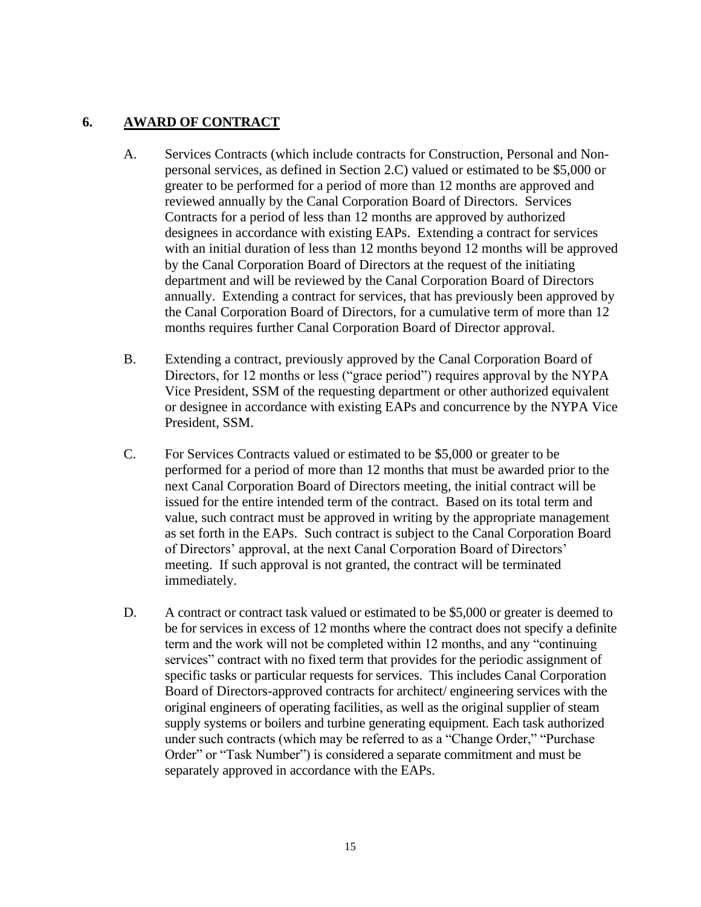# **6. AWARD OF CONTRACT**

- A. Services Contracts (which include contracts for Construction, Personal and Nonpersonal services, as defined in Section 2.C) valued or estimated to be \$5,000 or greater to be performed for a period of more than 12 months are approved and reviewed annually by the Canal Corporation Board of Directors. Services Contracts for a period of less than 12 months are approved by authorized designees in accordance with existing EAPs. Extending a contract for services with an initial duration of less than 12 months beyond 12 months will be approved by the Canal Corporation Board of Directors at the request of the initiating department and will be reviewed by the Canal Corporation Board of Directors annually. Extending a contract for services, that has previously been approved by the Canal Corporation Board of Directors, for a cumulative term of more than 12 months requires further Canal Corporation Board of Director approval.
- B. Extending a contract, previously approved by the Canal Corporation Board of Directors, for 12 months or less ("grace period") requires approval by the NYPA Vice President, SSM of the requesting department or other authorized equivalent or designee in accordance with existing EAPs and concurrence by the NYPA Vice President, SSM.
- C. For Services Contracts valued or estimated to be \$5,000 or greater to be performed for a period of more than 12 months that must be awarded prior to the next Canal Corporation Board of Directors meeting, the initial contract will be issued for the entire intended term of the contract. Based on its total term and value, such contract must be approved in writing by the appropriate management as set forth in the EAPs. Such contract is subject to the Canal Corporation Board of Directors' approval, at the next Canal Corporation Board of Directors' meeting. If such approval is not granted, the contract will be terminated immediately.
- D. A contract or contract task valued or estimated to be \$5,000 or greater is deemed to be for services in excess of 12 months where the contract does not specify a definite term and the work will not be completed within 12 months, and any "continuing services" contract with no fixed term that provides for the periodic assignment of specific tasks or particular requests for services. This includes Canal Corporation Board of Directors-approved contracts for architect/ engineering services with the original engineers of operating facilities, as well as the original supplier of steam supply systems or boilers and turbine generating equipment. Each task authorized under such contracts (which may be referred to as a "Change Order," "Purchase Order" or "Task Number") is considered a separate commitment and must be separately approved in accordance with the EAPs.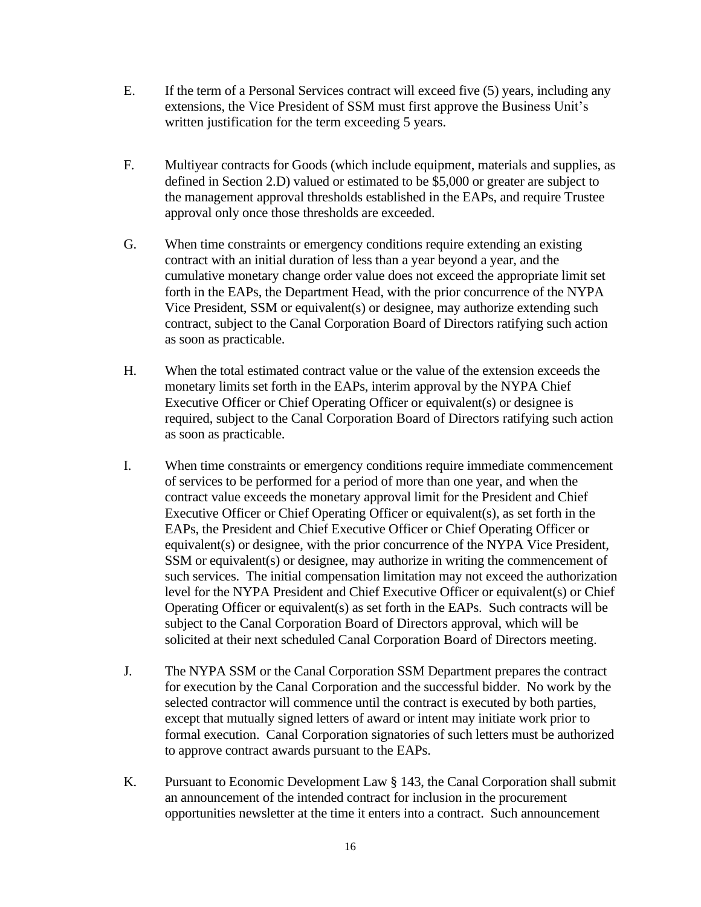- E. If the term of a Personal Services contract will exceed five (5) years, including any extensions, the Vice President of SSM must first approve the Business Unit's written justification for the term exceeding 5 years.
- F. Multiyear contracts for Goods (which include equipment, materials and supplies, as defined in Section 2.D) valued or estimated to be \$5,000 or greater are subject to the management approval thresholds established in the EAPs, and require Trustee approval only once those thresholds are exceeded.
- G. When time constraints or emergency conditions require extending an existing contract with an initial duration of less than a year beyond a year, and the cumulative monetary change order value does not exceed the appropriate limit set forth in the EAPs, the Department Head, with the prior concurrence of the NYPA Vice President, SSM or equivalent(s) or designee, may authorize extending such contract, subject to the Canal Corporation Board of Directors ratifying such action as soon as practicable.
- H. When the total estimated contract value or the value of the extension exceeds the monetary limits set forth in the EAPs, interim approval by the NYPA Chief Executive Officer or Chief Operating Officer or equivalent(s) or designee is required, subject to the Canal Corporation Board of Directors ratifying such action as soon as practicable.
- I. When time constraints or emergency conditions require immediate commencement of services to be performed for a period of more than one year, and when the contract value exceeds the monetary approval limit for the President and Chief Executive Officer or Chief Operating Officer or equivalent(s), as set forth in the EAPs, the President and Chief Executive Officer or Chief Operating Officer or equivalent(s) or designee, with the prior concurrence of the NYPA Vice President, SSM or equivalent(s) or designee, may authorize in writing the commencement of such services. The initial compensation limitation may not exceed the authorization level for the NYPA President and Chief Executive Officer or equivalent(s) or Chief Operating Officer or equivalent(s) as set forth in the EAPs. Such contracts will be subject to the Canal Corporation Board of Directors approval, which will be solicited at their next scheduled Canal Corporation Board of Directors meeting.
- J. The NYPA SSM or the Canal Corporation SSM Department prepares the contract for execution by the Canal Corporation and the successful bidder. No work by the selected contractor will commence until the contract is executed by both parties, except that mutually signed letters of award or intent may initiate work prior to formal execution. Canal Corporation signatories of such letters must be authorized to approve contract awards pursuant to the EAPs.
- K. Pursuant to Economic Development Law § 143, the Canal Corporation shall submit an announcement of the intended contract for inclusion in the procurement opportunities newsletter at the time it enters into a contract. Such announcement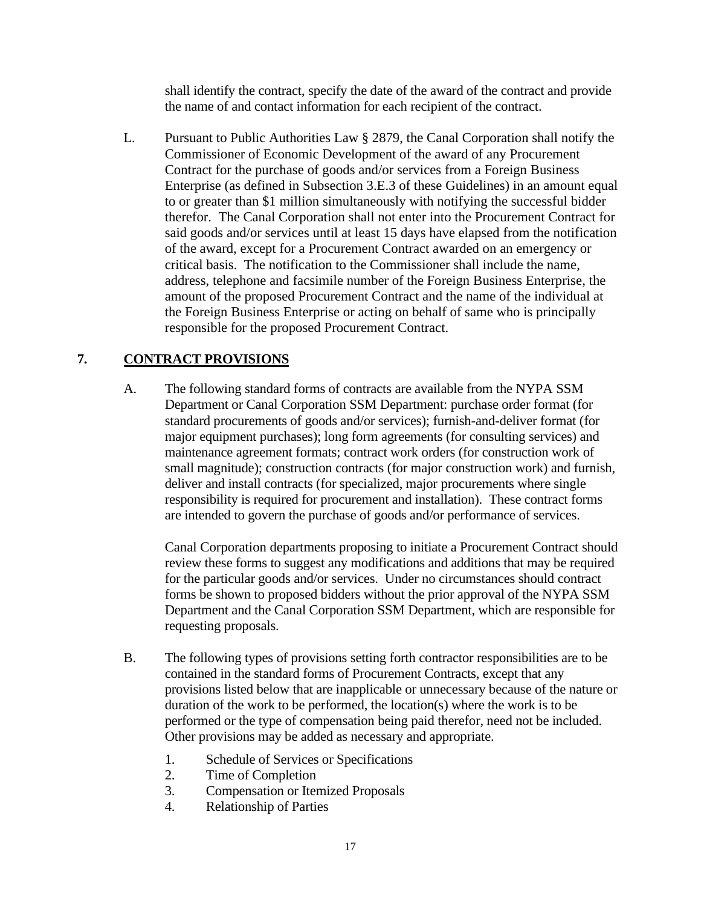shall identify the contract, specify the date of the award of the contract and provide the name of and contact information for each recipient of the contract.

L. Pursuant to Public Authorities Law § 2879, the Canal Corporation shall notify the Commissioner of Economic Development of the award of any Procurement Contract for the purchase of goods and/or services from a Foreign Business Enterprise (as defined in Subsection 3.E.3 of these Guidelines) in an amount equal to or greater than \$1 million simultaneously with notifying the successful bidder therefor. The Canal Corporation shall not enter into the Procurement Contract for said goods and/or services until at least 15 days have elapsed from the notification of the award, except for a Procurement Contract awarded on an emergency or critical basis. The notification to the Commissioner shall include the name, address, telephone and facsimile number of the Foreign Business Enterprise, the amount of the proposed Procurement Contract and the name of the individual at the Foreign Business Enterprise or acting on behalf of same who is principally responsible for the proposed Procurement Contract.

# **7. CONTRACT PROVISIONS**

A. The following standard forms of contracts are available from the NYPA SSM Department or Canal Corporation SSM Department: purchase order format (for standard procurements of goods and/or services); furnish-and-deliver format (for major equipment purchases); long form agreements (for consulting services) and maintenance agreement formats; contract work orders (for construction work of small magnitude); construction contracts (for major construction work) and furnish, deliver and install contracts (for specialized, major procurements where single responsibility is required for procurement and installation). These contract forms are intended to govern the purchase of goods and/or performance of services.

Canal Corporation departments proposing to initiate a Procurement Contract should review these forms to suggest any modifications and additions that may be required for the particular goods and/or services. Under no circumstances should contract forms be shown to proposed bidders without the prior approval of the NYPA SSM Department and the Canal Corporation SSM Department, which are responsible for requesting proposals.

- B. The following types of provisions setting forth contractor responsibilities are to be contained in the standard forms of Procurement Contracts, except that any provisions listed below that are inapplicable or unnecessary because of the nature or duration of the work to be performed, the location(s) where the work is to be performed or the type of compensation being paid therefor, need not be included. Other provisions may be added as necessary and appropriate.
	- 1. Schedule of Services or Specifications
	- 2. Time of Completion
	- 3. Compensation or Itemized Proposals
	- 4. Relationship of Parties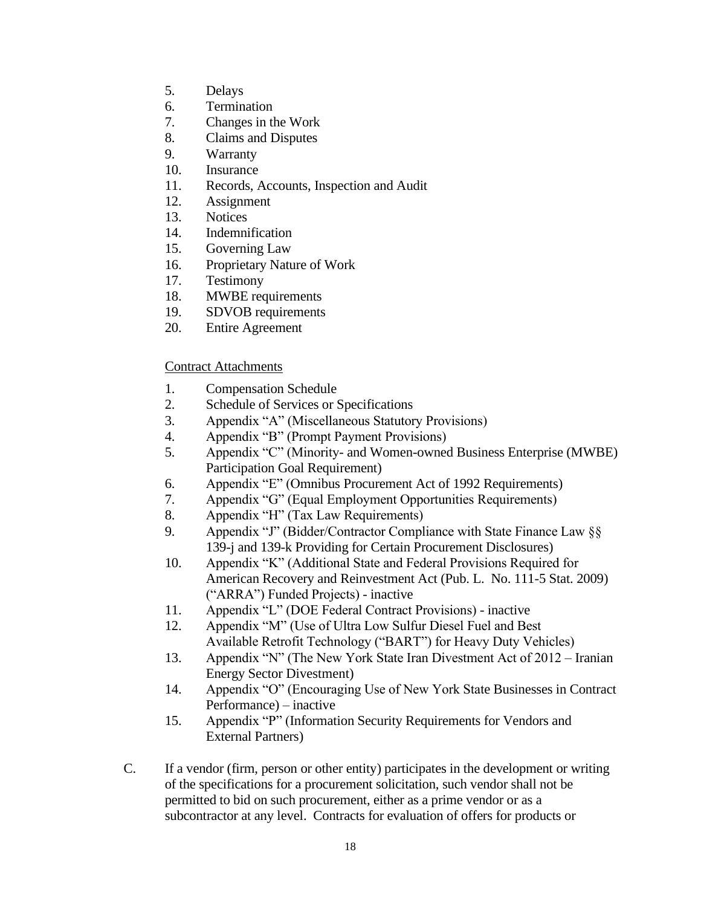- 5. Delays
- 6. Termination
- 7. Changes in the Work
- 8. Claims and Disputes
- 9. Warranty
- 10. Insurance
- 11. Records, Accounts, Inspection and Audit
- 12. Assignment
- 13. Notices
- 14. Indemnification
- 15. Governing Law
- 16. Proprietary Nature of Work
- 17. Testimony
- 18. MWBE requirements
- 19. SDVOB requirements
- 20. Entire Agreement

### Contract Attachments

- 1. Compensation Schedule
- 2. Schedule of Services or Specifications
- 3. Appendix "A" (Miscellaneous Statutory Provisions)
- 4. Appendix "B" (Prompt Payment Provisions)
- 5. Appendix "C" (Minority- and Women-owned Business Enterprise (MWBE) Participation Goal Requirement)
- 6. Appendix "E" (Omnibus Procurement Act of 1992 Requirements)
- 7. Appendix "G" (Equal Employment Opportunities Requirements)
- 8. Appendix "H" (Tax Law Requirements)
- 9. Appendix "J" (Bidder/Contractor Compliance with State Finance Law §§ 139-j and 139-k Providing for Certain Procurement Disclosures)
- 10. Appendix "K" (Additional State and Federal Provisions Required for American Recovery and Reinvestment Act (Pub. L. No. 111-5 Stat. 2009) ("ARRA") Funded Projects) - inactive
- 11. Appendix "L" (DOE Federal Contract Provisions) inactive
- 12. Appendix "M" (Use of Ultra Low Sulfur Diesel Fuel and Best Available Retrofit Technology ("BART") for Heavy Duty Vehicles)
- 13. Appendix "N" (The New York State Iran Divestment Act of 2012 Iranian Energy Sector Divestment)
- 14. Appendix "O" (Encouraging Use of New York State Businesses in Contract Performance) – inactive
- 15. Appendix "P" (Information Security Requirements for Vendors and External Partners)
- C. If a vendor (firm, person or other entity) participates in the development or writing of the specifications for a procurement solicitation, such vendor shall not be permitted to bid on such procurement, either as a prime vendor or as a subcontractor at any level. Contracts for evaluation of offers for products or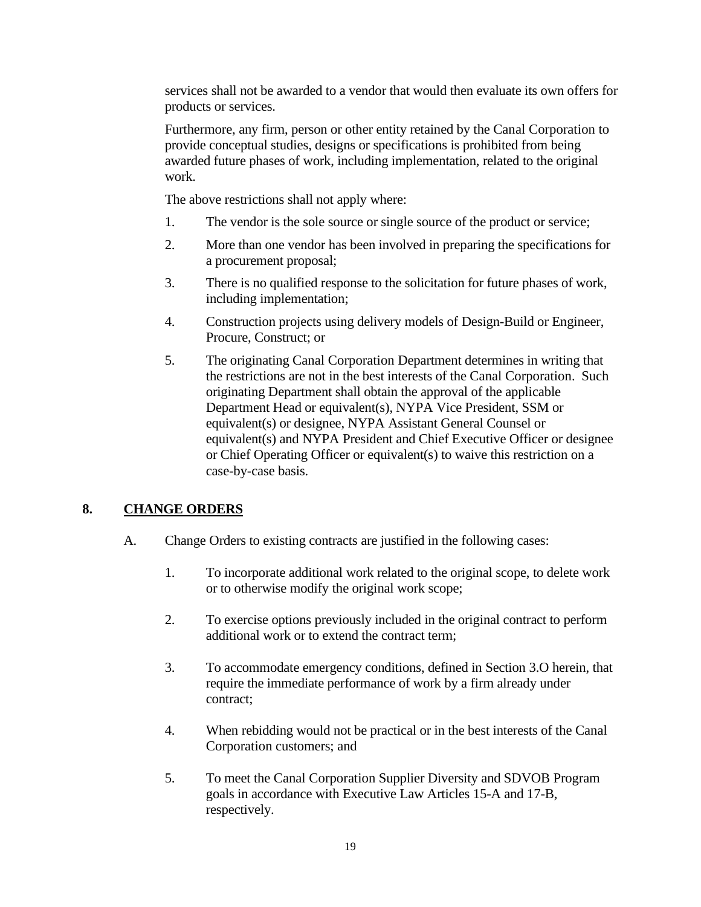services shall not be awarded to a vendor that would then evaluate its own offers for products or services.

Furthermore, any firm, person or other entity retained by the Canal Corporation to provide conceptual studies, designs or specifications is prohibited from being awarded future phases of work, including implementation, related to the original work.

The above restrictions shall not apply where:

- 1. The vendor is the sole source or single source of the product or service;
- 2. More than one vendor has been involved in preparing the specifications for a procurement proposal;
- 3. There is no qualified response to the solicitation for future phases of work, including implementation;
- 4. Construction projects using delivery models of Design-Build or Engineer, Procure, Construct; or
- 5. The originating Canal Corporation Department determines in writing that the restrictions are not in the best interests of the Canal Corporation. Such originating Department shall obtain the approval of the applicable Department Head or equivalent(s), NYPA Vice President, SSM or equivalent(s) or designee, NYPA Assistant General Counsel or equivalent(s) and NYPA President and Chief Executive Officer or designee or Chief Operating Officer or equivalent(s) to waive this restriction on a case-by-case basis.

### **8. CHANGE ORDERS**

- A. Change Orders to existing contracts are justified in the following cases:
	- 1. To incorporate additional work related to the original scope, to delete work or to otherwise modify the original work scope;
	- 2. To exercise options previously included in the original contract to perform additional work or to extend the contract term;
	- 3. To accommodate emergency conditions, defined in Section 3.O herein, that require the immediate performance of work by a firm already under contract;
	- 4. When rebidding would not be practical or in the best interests of the Canal Corporation customers; and
	- 5. To meet the Canal Corporation Supplier Diversity and SDVOB Program goals in accordance with Executive Law Articles 15-A and 17-B, respectively.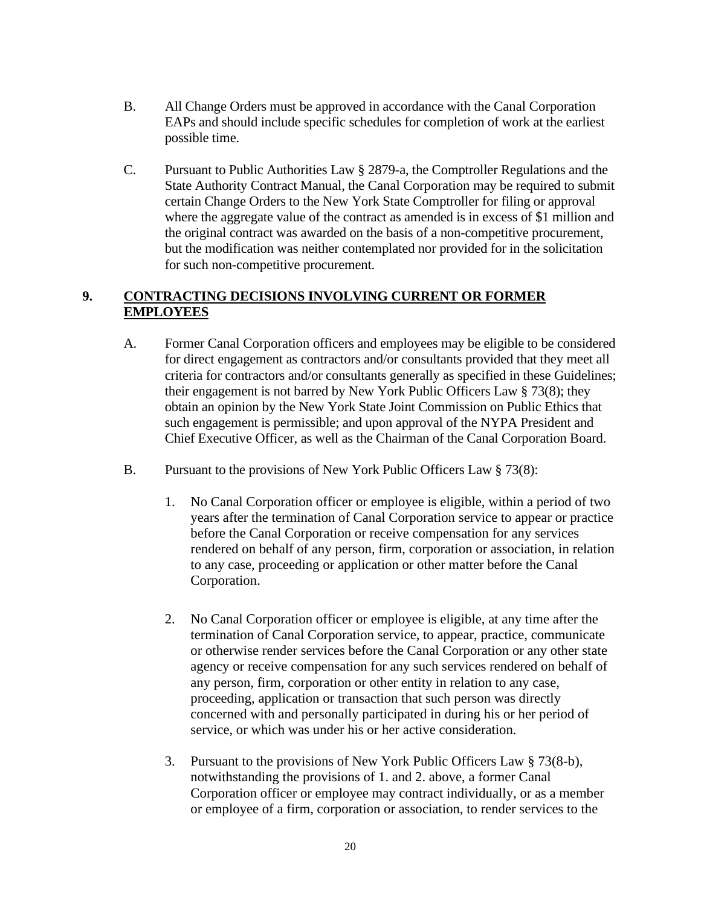- B. All Change Orders must be approved in accordance with the Canal Corporation EAPs and should include specific schedules for completion of work at the earliest possible time.
- C. Pursuant to Public Authorities Law § 2879-a, the Comptroller Regulations and the State Authority Contract Manual, the Canal Corporation may be required to submit certain Change Orders to the New York State Comptroller for filing or approval where the aggregate value of the contract as amended is in excess of \$1 million and the original contract was awarded on the basis of a non-competitive procurement, but the modification was neither contemplated nor provided for in the solicitation for such non-competitive procurement.

# **9. CONTRACTING DECISIONS INVOLVING CURRENT OR FORMER EMPLOYEES**

- A. Former Canal Corporation officers and employees may be eligible to be considered for direct engagement as contractors and/or consultants provided that they meet all criteria for contractors and/or consultants generally as specified in these Guidelines; their engagement is not barred by New York Public Officers Law § 73(8); they obtain an opinion by the New York State Joint Commission on Public Ethics that such engagement is permissible; and upon approval of the NYPA President and Chief Executive Officer, as well as the Chairman of the Canal Corporation Board.
- B. Pursuant to the provisions of New York Public Officers Law § 73(8):
	- 1. No Canal Corporation officer or employee is eligible, within a period of two years after the termination of Canal Corporation service to appear or practice before the Canal Corporation or receive compensation for any services rendered on behalf of any person, firm, corporation or association, in relation to any case, proceeding or application or other matter before the Canal Corporation.
	- 2. No Canal Corporation officer or employee is eligible, at any time after the termination of Canal Corporation service, to appear, practice, communicate or otherwise render services before the Canal Corporation or any other state agency or receive compensation for any such services rendered on behalf of any person, firm, corporation or other entity in relation to any case, proceeding, application or transaction that such person was directly concerned with and personally participated in during his or her period of service, or which was under his or her active consideration.
	- 3. Pursuant to the provisions of New York Public Officers Law § 73(8-b), notwithstanding the provisions of 1. and 2. above, a former Canal Corporation officer or employee may contract individually, or as a member or employee of a firm, corporation or association, to render services to the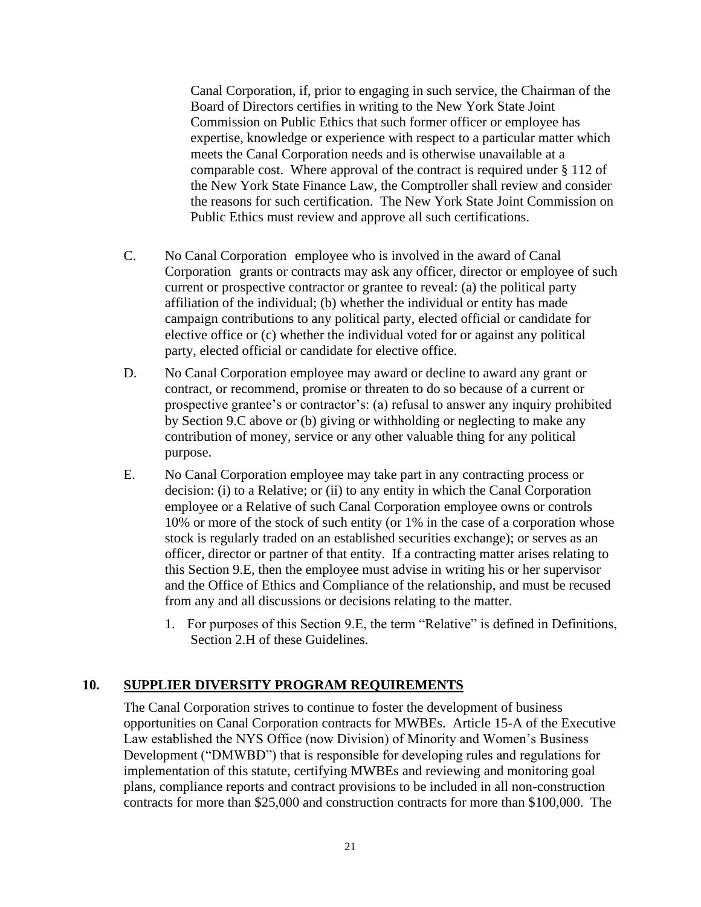Canal Corporation, if, prior to engaging in such service, the Chairman of the Board of Directors certifies in writing to the New York State Joint Commission on Public Ethics that such former officer or employee has expertise, knowledge or experience with respect to a particular matter which meets the Canal Corporation needs and is otherwise unavailable at a comparable cost. Where approval of the contract is required under § 112 of the New York State Finance Law, the Comptroller shall review and consider the reasons for such certification. The New York State Joint Commission on Public Ethics must review and approve all such certifications.

- C. No Canal Corporation employee who is involved in the award of Canal Corporation grants or contracts may ask any officer, director or employee of such current or prospective contractor or grantee to reveal: (a) the political party affiliation of the individual; (b) whether the individual or entity has made campaign contributions to any political party, elected official or candidate for elective office or (c) whether the individual voted for or against any political party, elected official or candidate for elective office.
- D. No Canal Corporation employee may award or decline to award any grant or contract, or recommend, promise or threaten to do so because of a current or prospective grantee's or contractor's: (a) refusal to answer any inquiry prohibited by Section 9.C above or (b) giving or withholding or neglecting to make any contribution of money, service or any other valuable thing for any political purpose.
- E. No Canal Corporation employee may take part in any contracting process or decision: (i) to a Relative; or (ii) to any entity in which the Canal Corporation employee or a Relative of such Canal Corporation employee owns or controls 10% or more of the stock of such entity (or 1% in the case of a corporation whose stock is regularly traded on an established securities exchange); or serves as an officer, director or partner of that entity. If a contracting matter arises relating to this Section 9.E, then the employee must advise in writing his or her supervisor and the Office of Ethics and Compliance of the relationship, and must be recused from any and all discussions or decisions relating to the matter.
	- 1. For purposes of this Section 9.E, the term "Relative" is defined in Definitions, Section 2.H of these Guidelines.

# **10. SUPPLIER DIVERSITY PROGRAM REQUIREMENTS**

The Canal Corporation strives to continue to foster the development of business opportunities on Canal Corporation contracts for MWBEs. Article 15-A of the Executive Law established the NYS Office (now Division) of Minority and Women's Business Development ("DMWBD") that is responsible for developing rules and regulations for implementation of this statute, certifying MWBEs and reviewing and monitoring goal plans, compliance reports and contract provisions to be included in all non-construction contracts for more than \$25,000 and construction contracts for more than \$100,000. The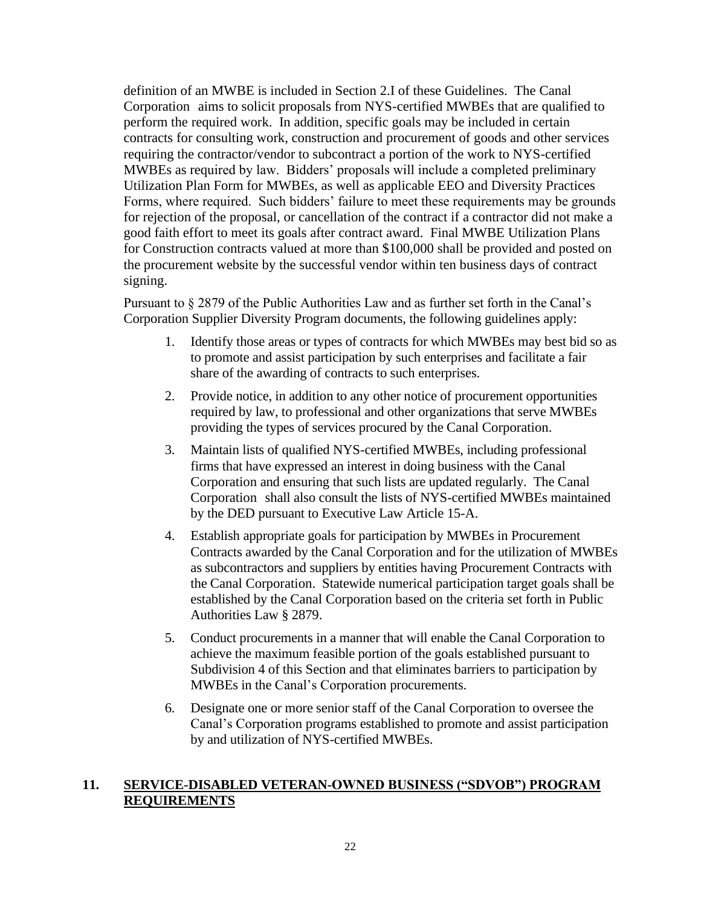definition of an MWBE is included in Section 2.I of these Guidelines. The Canal Corporation aims to solicit proposals from NYS-certified MWBEs that are qualified to perform the required work. In addition, specific goals may be included in certain contracts for consulting work, construction and procurement of goods and other services requiring the contractor/vendor to subcontract a portion of the work to NYS-certified MWBEs as required by law. Bidders' proposals will include a completed preliminary Utilization Plan Form for MWBEs, as well as applicable EEO and Diversity Practices Forms, where required. Such bidders' failure to meet these requirements may be grounds for rejection of the proposal, or cancellation of the contract if a contractor did not make a good faith effort to meet its goals after contract award. Final MWBE Utilization Plans for Construction contracts valued at more than \$100,000 shall be provided and posted on the procurement website by the successful vendor within ten business days of contract signing.

Pursuant to § 2879 of the Public Authorities Law and as further set forth in the Canal's Corporation Supplier Diversity Program documents, the following guidelines apply:

- 1. Identify those areas or types of contracts for which MWBEs may best bid so as to promote and assist participation by such enterprises and facilitate a fair share of the awarding of contracts to such enterprises.
- 2. Provide notice, in addition to any other notice of procurement opportunities required by law, to professional and other organizations that serve MWBEs providing the types of services procured by the Canal Corporation.
- 3. Maintain lists of qualified NYS-certified MWBEs, including professional firms that have expressed an interest in doing business with the Canal Corporation and ensuring that such lists are updated regularly. The Canal Corporation shall also consult the lists of NYS-certified MWBEs maintained by the DED pursuant to Executive Law Article 15-A.
- 4. Establish appropriate goals for participation by MWBEs in Procurement Contracts awarded by the Canal Corporation and for the utilization of MWBEs as subcontractors and suppliers by entities having Procurement Contracts with the Canal Corporation. Statewide numerical participation target goals shall be established by the Canal Corporation based on the criteria set forth in Public Authorities Law § 2879.
- 5. Conduct procurements in a manner that will enable the Canal Corporation to achieve the maximum feasible portion of the goals established pursuant to Subdivision 4 of this Section and that eliminates barriers to participation by MWBEs in the Canal's Corporation procurements.
- 6. Designate one or more senior staff of the Canal Corporation to oversee the Canal's Corporation programs established to promote and assist participation by and utilization of NYS-certified MWBEs.

### **11. SERVICE-DISABLED VETERAN-OWNED BUSINESS ("SDVOB") PROGRAM REQUIREMENTS**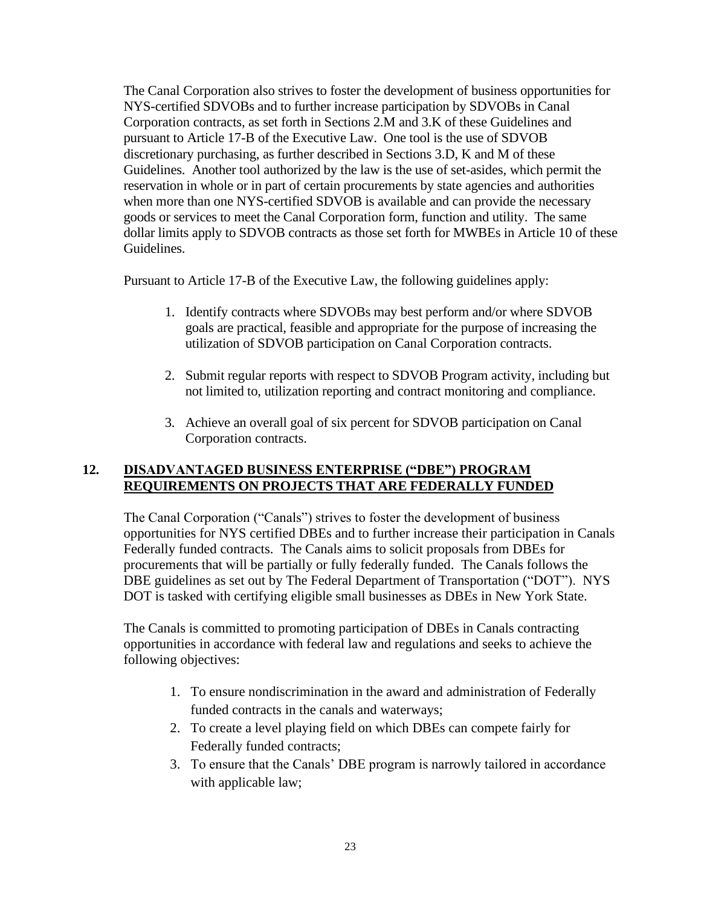The Canal Corporation also strives to foster the development of business opportunities for NYS-certified SDVOBs and to further increase participation by SDVOBs in Canal Corporation contracts, as set forth in Sections 2.M and 3.K of these Guidelines and pursuant to Article 17-B of the Executive Law. One tool is the use of SDVOB discretionary purchasing, as further described in Sections 3.D, K and M of these Guidelines. Another tool authorized by the law is the use of set-asides, which permit the reservation in whole or in part of certain procurements by state agencies and authorities when more than one NYS-certified SDVOB is available and can provide the necessary goods or services to meet the Canal Corporation form, function and utility. The same dollar limits apply to SDVOB contracts as those set forth for MWBEs in Article 10 of these Guidelines.

Pursuant to Article 17-B of the Executive Law, the following guidelines apply:

- 1. Identify contracts where SDVOBs may best perform and/or where SDVOB goals are practical, feasible and appropriate for the purpose of increasing the utilization of SDVOB participation on Canal Corporation contracts.
- 2. Submit regular reports with respect to SDVOB Program activity, including but not limited to, utilization reporting and contract monitoring and compliance.
- 3. Achieve an overall goal of six percent for SDVOB participation on Canal Corporation contracts.

#### **12. DISADVANTAGED BUSINESS ENTERPRISE ("DBE") PROGRAM REQUIREMENTS ON PROJECTS THAT ARE FEDERALLY FUNDED**

The Canal Corporation ("Canals") strives to foster the development of business opportunities for NYS certified DBEs and to further increase their participation in Canals Federally funded contracts. The Canals aims to solicit proposals from DBEs for procurements that will be partially or fully federally funded. The Canals follows the DBE guidelines as set out by The Federal Department of Transportation ("DOT"). NYS DOT is tasked with certifying eligible small businesses as DBEs in New York State.

The Canals is committed to promoting participation of DBEs in Canals contracting opportunities in accordance with federal law and regulations and seeks to achieve the following objectives:

- 1. To ensure nondiscrimination in the award and administration of Federally funded contracts in the canals and waterways;
- 2. To create a level playing field on which DBEs can compete fairly for Federally funded contracts;
- 3. To ensure that the Canals' DBE program is narrowly tailored in accordance with applicable law;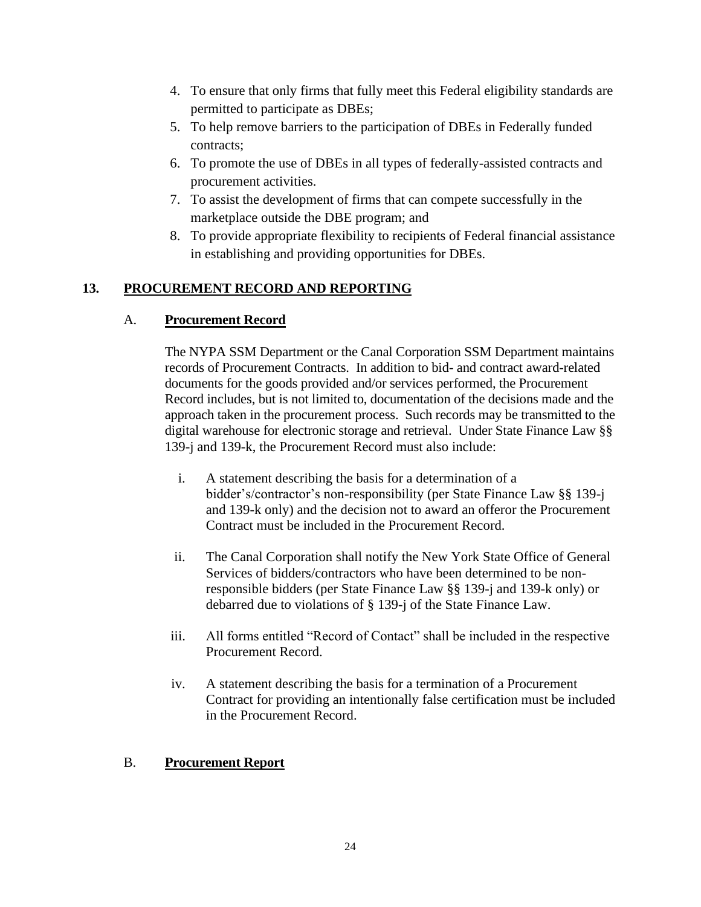- 4. To ensure that only firms that fully meet this Federal eligibility standards are permitted to participate as DBEs;
- 5. To help remove barriers to the participation of DBEs in Federally funded contracts;
- 6. To promote the use of DBEs in all types of federally-assisted contracts and procurement activities.
- 7. To assist the development of firms that can compete successfully in the marketplace outside the DBE program; and
- 8. To provide appropriate flexibility to recipients of Federal financial assistance in establishing and providing opportunities for DBEs.

# **13. PROCUREMENT RECORD AND REPORTING**

### A. **Procurement Record**

The NYPA SSM Department or the Canal Corporation SSM Department maintains records of Procurement Contracts. In addition to bid- and contract award-related documents for the goods provided and/or services performed, the Procurement Record includes, but is not limited to, documentation of the decisions made and the approach taken in the procurement process. Such records may be transmitted to the digital warehouse for electronic storage and retrieval. Under State Finance Law §§ 139-j and 139-k, the Procurement Record must also include:

- i. A statement describing the basis for a determination of a bidder's/contractor's non-responsibility (per State Finance Law §§ 139-j and 139-k only) and the decision not to award an offeror the Procurement Contract must be included in the Procurement Record.
- ii. The Canal Corporation shall notify the New York State Office of General Services of bidders/contractors who have been determined to be nonresponsible bidders (per State Finance Law §§ 139-j and 139-k only) or debarred due to violations of § 139-j of the State Finance Law.
- iii. All forms entitled "Record of Contact" shall be included in the respective Procurement Record.
- iv. A statement describing the basis for a termination of a Procurement Contract for providing an intentionally false certification must be included in the Procurement Record.

### B. **Procurement Report**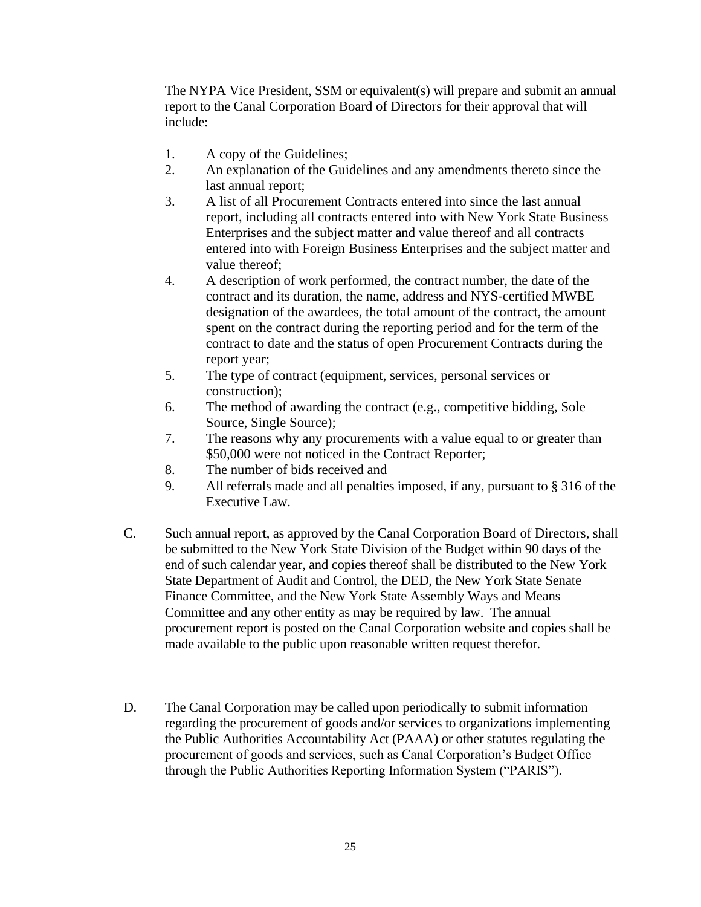The NYPA Vice President, SSM or equivalent(s) will prepare and submit an annual report to the Canal Corporation Board of Directors for their approval that will include:

- 1. A copy of the Guidelines;
- 2. An explanation of the Guidelines and any amendments thereto since the last annual report;
- 3. A list of all Procurement Contracts entered into since the last annual report, including all contracts entered into with New York State Business Enterprises and the subject matter and value thereof and all contracts entered into with Foreign Business Enterprises and the subject matter and value thereof;
- 4. A description of work performed, the contract number, the date of the contract and its duration, the name, address and NYS-certified MWBE designation of the awardees, the total amount of the contract, the amount spent on the contract during the reporting period and for the term of the contract to date and the status of open Procurement Contracts during the report year;
- 5. The type of contract (equipment, services, personal services or construction);
- 6. The method of awarding the contract (e.g., competitive bidding, Sole Source, Single Source);
- 7. The reasons why any procurements with a value equal to or greater than \$50,000 were not noticed in the Contract Reporter;
- 8. The number of bids received and
- 9. All referrals made and all penalties imposed, if any, pursuant to § 316 of the Executive Law.
- C. Such annual report, as approved by the Canal Corporation Board of Directors, shall be submitted to the New York State Division of the Budget within 90 days of the end of such calendar year, and copies thereof shall be distributed to the New York State Department of Audit and Control, the DED, the New York State Senate Finance Committee, and the New York State Assembly Ways and Means Committee and any other entity as may be required by law. The annual procurement report is posted on the Canal Corporation website and copies shall be made available to the public upon reasonable written request therefor.
- D. The Canal Corporation may be called upon periodically to submit information regarding the procurement of goods and/or services to organizations implementing the Public Authorities Accountability Act (PAAA) or other statutes regulating the procurement of goods and services, such as Canal Corporation's Budget Office through the Public Authorities Reporting Information System ("PARIS").